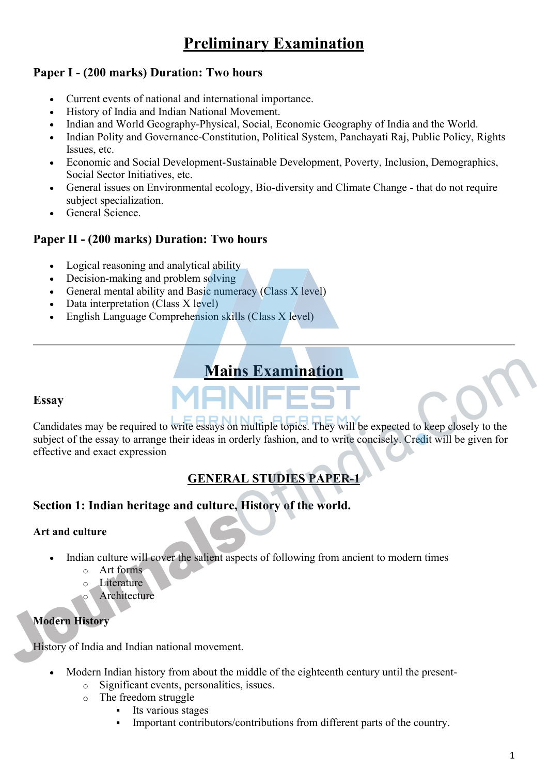# **Preliminary Examination**

## **Paper I - (200 marks) Duration: Two hours**

- Current events of national and international importance.
- History of India and Indian National Movement.
- Indian and World Geography-Physical, Social, Economic Geography of India and the World.
- Indian Polity and Governance-Constitution, Political System, Panchayati Raj, Public Policy, Rights Issues, etc.
- Economic and Social Development-Sustainable Development, Poverty, Inclusion, Demographics, Social Sector Initiatives, etc.
- General issues on Environmental ecology, Bio-diversity and Climate Change that do not require subject specialization.
- General Science.

## **Paper II - (200 marks) Duration: Two hours**

- Logical reasoning and analytical ability
- Decision-making and problem solving
- General mental ability and Basic numeracy (Class X level)
- Data interpretation (Class X level)
- English Language Comprehension skills (Class X level)

# **Mains Examination**

#### **Essay**

Candidates may be required to write essays on multiple topics. They will be expected to keep closely to the subject of the essay to arrange their ideas in orderly fashion, and to write concisely. Credit will be given for effective and exact expression Mains Examination<br>
Candidates may be required to write essays on multiple topics. They will be expected to keep closely to the<br>
subject of the essay to arrange their ideas in orderly fashion, and to write concisely. Credit

# **GENERAL STUDIES PAPER-1**

## **Section 1: Indian heritage and culture, History of the world.**

#### **Art and culture**

- Indian culture will cover the salient aspects of following from ancient to modern times
	- o Art forms
	- o Literature
	- Architecture

## **Modern History**

History of India and Indian national movement.

- Modern Indian history from about the middle of the eighteenth century until the present
	- o Significant events, personalities, issues.
	- o The freedom struggle
		- Its various stages
		- Important contributors/contributions from different parts of the country.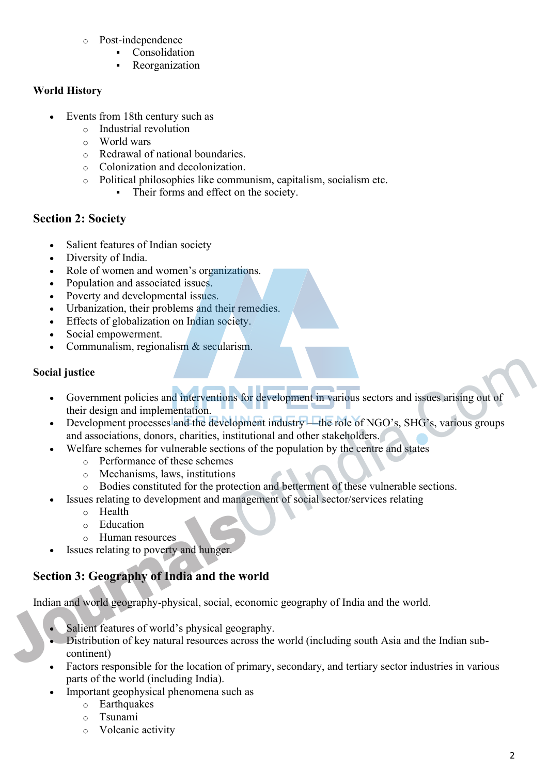- o Post-independence
	- Consolidation
	- Reorganization

#### **World History**

- Events from 18th century such as
	- o Industrial revolution
	- o World wars
	- o Redrawal of national boundaries.
	- o Colonization and decolonization.
	- o Political philosophies like communism, capitalism, socialism etc.
		- Their forms and effect on the society.

## **Section 2: Society**

- Salient features of Indian society
- Diversity of India.
- Role of women and women's organizations.
- Population and associated issues.
- Poverty and developmental issues.
- Urbanization, their problems and their remedies.
- **Effects of globalization on Indian society.**
- Social empowerment.
- Communalism, regionalism & secularism.

#### **Social justice**

- Government policies and interventions for development in various sectors and issues arising out of their design and implementation.
- Development processes and the development industry—the role of NGO's, SHG's, various groups and associations, donors, charities, institutional and other stakeholders. Social justice<br>
• Government policies and interventions for development in various sectors and issues arising out of<br>
their design and implementation.<br>
• Development industry—the role of NGO's, SHG's, various groups<br>
and a
	- Welfare schemes for vulnerable sections of the population by the centre and states
		- o Performance of these schemes
		- o Mechanisms, laws, institutions
		- o Bodies constituted for the protection and betterment of these vulnerable sections.
	- Issues relating to development and management of social sector/services relating
		- o Health
		- o Education
		- o Human resources
	- Issues relating to poverty and hunger.

# **Section 3: Geography of India and the world**

Indian and world geography-physical, social, economic geography of India and the world.

- Salient features of world's physical geography.
- Distribution of key natural resources across the world (including south Asia and the Indian subcontinent)
- Factors responsible for the location of primary, secondary, and tertiary sector industries in various parts of the world (including India).
- Important geophysical phenomena such as
	- o Earthquakes
	- o Tsunami
	- o Volcanic activity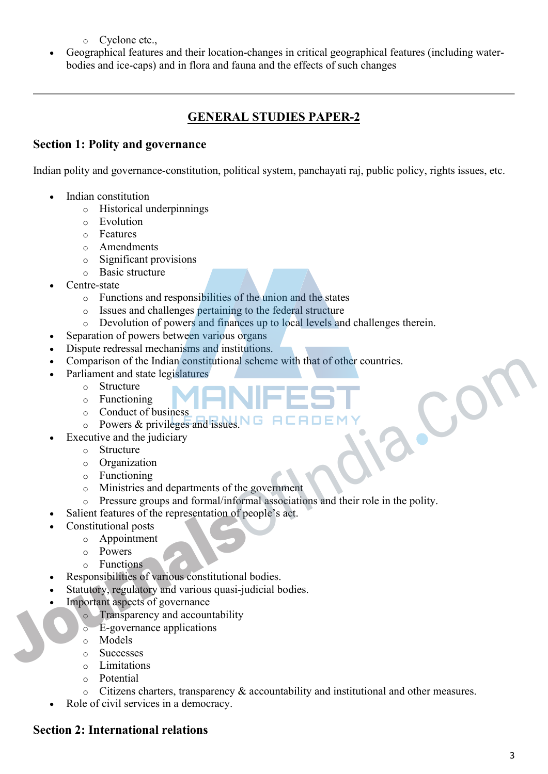- o Cyclone etc.,
- Geographical features and their location-changes in critical geographical features (including waterbodies and ice-caps) and in flora and fauna and the effects of such changes

## **GENERAL STUDIES PAPER-2**

#### **Section 1: Polity and governance**

Indian polity and governance-constitution, political system, panchayati raj, public policy, rights issues, etc.

- Indian constitution
	- o Historical underpinnings
	- o Evolution
	- o Features
	- o Amendments
	- o Significant provisions
	- o Basic structure
- Centre-state
	- o Functions and responsibilities of the union and the states
	- o Issues and challenges pertaining to the federal structure
	- o Devolution of powers and finances up to local levels and challenges therein.
- Separation of powers between various organs
- Dispute redressal mechanisms and institutions.
- Comparison of the Indian constitutional scheme with that of other countries.
- Parliament and state legislatures
	- o Structure
	- o Functioning
	- o Conduct of business
	- o Powers & privileges and issues.
- Executive and the judiciary
	- o Structure
	- o Organization
	- o Functioning
	- o Ministries and departments of the government
- o Pressure groups and formal/informal associations and their role in the polity. • Comparison of the Indian constitutional scheme with that of other countries.<br>
• Parliament and state legislatures<br>
• Structure<br>
• Conduct of business<br>
• Conduct of business<br>
• Conduct of business<br>
• Conduct of business<br>
	- Salient features of the representation of people's act.
	- Constitutional posts
		- o Appointment
		- o Powers
		- o Functions
		- Responsibilities of various constitutional bodies.
	- Statutory, regulatory and various quasi-judicial bodies.
	- Important aspects of governance
		- o Transparency and accountability
		- o E-governance applications
		- o Models
		- o Successes
		- o Limitations
		- o Potential
		- $\circ$  Citizens charters, transparency & accountability and institutional and other measures.
	- Role of civil services in a democracy.

# **Section 2: International relations**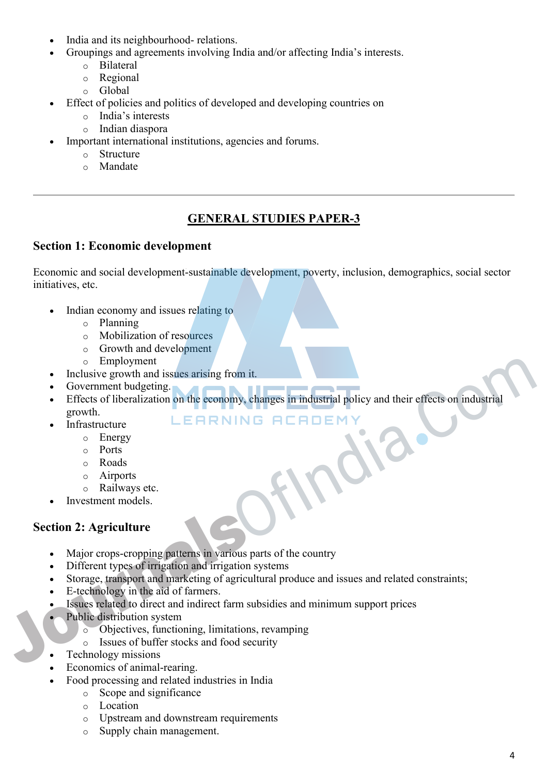- India and its neighbourhood- relations.
- Groupings and agreements involving India and/or affecting India's interests.
	- o Bilateral
	- o Regional
	- o Global
- Effect of policies and politics of developed and developing countries on
	- o India's interests
	- o Indian diaspora
- Important international institutions, agencies and forums.
	- o Structure
	- o Mandate

## **GENERAL STUDIES PAPER-3**

## **Section 1: Economic development**

Economic and social development-sustainable development, poverty, inclusion, demographics, social sector initiatives, etc.

- Indian economy and issues relating to
	- o Planning
	- o Mobilization of resources
	- o Growth and development
	- o Employment
- Inclusive growth and issues arising from it.
- Government budgeting.
- Effects of liberalization on the economy, changes in industrial policy and their effects on industrial growth. Comment Indigenment<br>
Containing growth and issues arising from it.<br>
Comment Indigening.<br>
EFRINING FIEFIDEMY<br>
Comment Indigensity<br>
For Excess of Hieraritzation on the economy, changes in industrial policy and their effects
	- Infrastructure
		- o Energy
		- o Ports
		- o Roads
		- o Airports
		- o Railways etc.
	- Investment models.

## **Section 2: Agriculture**

- Major crops-cropping patterns in various parts of the country
- Different types of irrigation and irrigation systems
- Storage, transport and marketing of agricultural produce and issues and related constraints;
- E-technology in the aid of farmers.
- Issues related to direct and indirect farm subsidies and minimum support prices
- Public distribution system
	- o Objectives, functioning, limitations, revamping
	- o Issues of buffer stocks and food security
- Technology missions
- Economics of animal-rearing.
- Food processing and related industries in India
	- o Scope and significance
		- o Location
		- o Upstream and downstream requirements
		- o Supply chain management.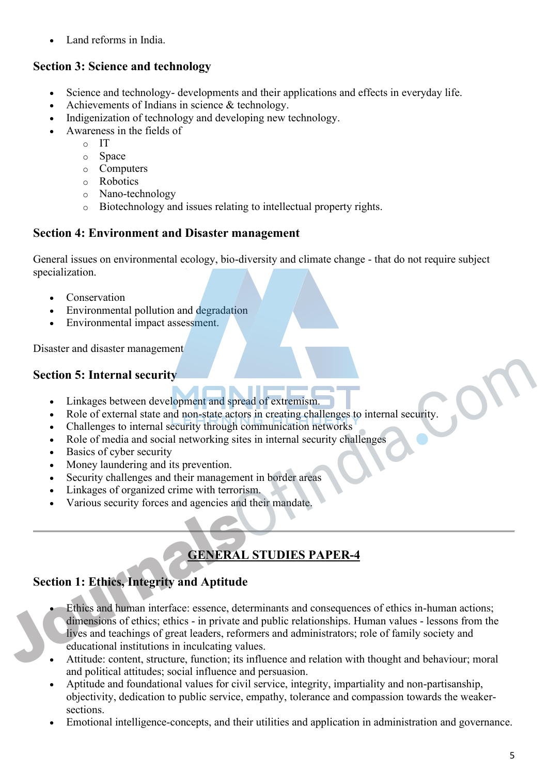Land reforms in India.

# **Section 3: Science and technology**

- Science and technology- developments and their applications and effects in everyday life.
- Achievements of Indians in science & technology.
- Indigenization of technology and developing new technology.
- Awareness in the fields of
	- o IT
	- o Space
	- o Computers
	- o Robotics
	- o Nano-technology
	- o Biotechnology and issues relating to intellectual property rights.

## **Section 4: Environment and Disaster management**

General issues on environmental ecology, bio-diversity and climate change - that do not require subject specialization.

- Conservation
- Environmental pollution and degradation
- Environmental impact assessment.

Disaster and disaster management

# **Section 5: Internal security**

- Linkages between development and spread of extremism.
- Role of external state and non-state actors in creating challenges to internal security.
- Challenges to internal security through communication networks
- Role of media and social networking sites in internal security challenges
- Basics of cyber security
- Money laundering and its prevention.
- Security challenges and their management in border areas
- Linkages of organized crime with terrorism.
- Various security forces and agencies and their mandate.

# **GENERAL STUDIES PAPER-4**

# **Section 1: Ethics, Integrity and Aptitude**

- Ethics and human interface: essence, determinants and consequences of ethics in-human actions; dimensions of ethics; ethics - in private and public relationships. Human values - lessons from the lives and teachings of great leaders, reformers and administrators; role of family society and educational institutions in inculcating values. Section 5: Internal security<br>
1. Linkages between development and spread of extremism.<br>
1. Role of external state and non-state actors in creating challenges to internal security.<br>
1. Challenges to internal security throug
	- Attitude: content, structure, function; its influence and relation with thought and behaviour; moral and political attitudes; social influence and persuasion.
	- Aptitude and foundational values for civil service, integrity, impartiality and non-partisanship, objectivity, dedication to public service, empathy, tolerance and compassion towards the weakersections.
	- Emotional intelligence-concepts, and their utilities and application in administration and governance.